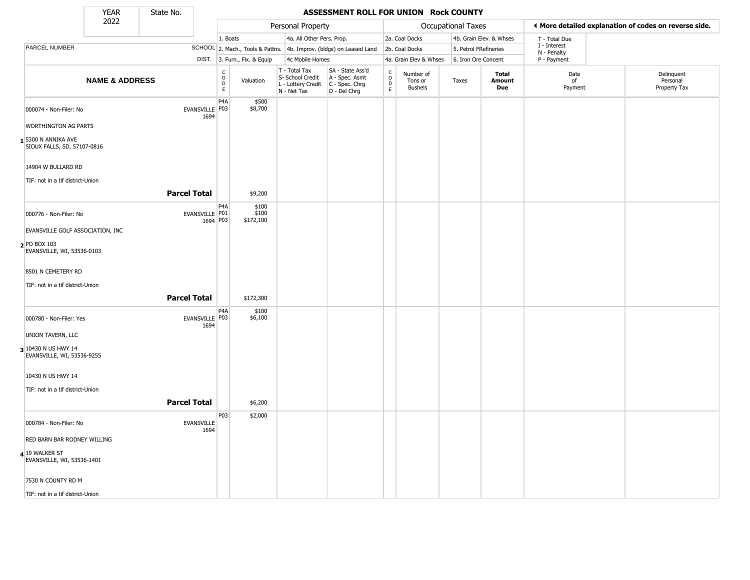State No.

#### **YEAR** State No. **ASSESSMENT ROLL FOR UNION Rock COUNTY**

|                                                       | 2022                      |                              |                                        |                              | Personal Property                                                                       |                                                                     |                                  |                                        | <b>Occupational Taxes</b> |                               |                             | ◀ More detailed explanation of codes on reverse side. |
|-------------------------------------------------------|---------------------------|------------------------------|----------------------------------------|------------------------------|-----------------------------------------------------------------------------------------|---------------------------------------------------------------------|----------------------------------|----------------------------------------|---------------------------|-------------------------------|-----------------------------|-------------------------------------------------------|
|                                                       |                           |                              | 1. Boats                               |                              | 4a. All Other Pers. Prop.                                                               |                                                                     |                                  | 2a. Coal Docks                         |                           | 4b. Grain Elev. & Whses       | T - Total Due               |                                                       |
| PARCEL NUMBER                                         |                           |                              |                                        |                              |                                                                                         | SCHOOL 2. Mach., Tools & Pattns. 4b. Improv. (bldgs) on Leased Land |                                  | 2b. Coal Docks                         | 5. Petrol FRefineries     |                               | I - Interest<br>N - Penalty |                                                       |
|                                                       |                           |                              |                                        | DIST. 3. Furn., Fix. & Equip | 4c Mobile Homes                                                                         |                                                                     |                                  | 4a. Grain Elev & Whses                 | 6. Iron Ore Concent       |                               | P - Payment                 |                                                       |
|                                                       | <b>NAME &amp; ADDRESS</b> |                              | $_{\rm o}^{\rm c}$<br>$\mathsf D$<br>E | Valuation                    | T - Total Tax<br>S- School Credit<br>L - Lottery Credit   C - Spec. Chrg<br>N - Net Tax | SA - State Ass'd<br>A - Spec. Asmt<br>D - Del Chrg                  | C<br>$\circ$<br>$\mathsf D$<br>E | Number of<br>Tons or<br><b>Bushels</b> | Taxes                     | <b>Total</b><br>Amount<br>Due | Date<br>of<br>Payment       | Delinquent<br>Personal<br>Property Tax                |
| 000074 - Non-Filer: No                                |                           | EVANSVILLE   P03<br>1694     | P4A                                    | \$500<br>\$8,700             |                                                                                         |                                                                     |                                  |                                        |                           |                               |                             |                                                       |
| <b>WORTHINGTON AG PARTS</b>                           |                           |                              |                                        |                              |                                                                                         |                                                                     |                                  |                                        |                           |                               |                             |                                                       |
| $1$ 5300 N ANNIKA AVE<br>SIOUX FALLS, SD, 57107-0816  |                           |                              |                                        |                              |                                                                                         |                                                                     |                                  |                                        |                           |                               |                             |                                                       |
| 14904 W BULLARD RD                                    |                           |                              |                                        |                              |                                                                                         |                                                                     |                                  |                                        |                           |                               |                             |                                                       |
| TIF: not in a tif district-Union                      |                           |                              |                                        |                              |                                                                                         |                                                                     |                                  |                                        |                           |                               |                             |                                                       |
|                                                       |                           | <b>Parcel Total</b>          |                                        | \$9,200                      |                                                                                         |                                                                     |                                  |                                        |                           |                               |                             |                                                       |
| 000776 - Non-Filer: No                                |                           | EVANSVILLE   P01<br>1694 P03 | P <sub>4</sub> A                       | \$100<br>\$100<br>\$172,100  |                                                                                         |                                                                     |                                  |                                        |                           |                               |                             |                                                       |
| EVANSVILLE GOLF ASSOCIATION, INC                      |                           |                              |                                        |                              |                                                                                         |                                                                     |                                  |                                        |                           |                               |                             |                                                       |
| 2 PO BOX 103<br>EVANSVILLE, WI, 53536-0103            |                           |                              |                                        |                              |                                                                                         |                                                                     |                                  |                                        |                           |                               |                             |                                                       |
| 8501 N CEMETERY RD                                    |                           |                              |                                        |                              |                                                                                         |                                                                     |                                  |                                        |                           |                               |                             |                                                       |
| TIF: not in a tif district-Union                      |                           | <b>Parcel Total</b>          |                                        | \$172,300                    |                                                                                         |                                                                     |                                  |                                        |                           |                               |                             |                                                       |
| 000780 - Non-Filer: Yes                               |                           | EVANSVILLE P03<br>1694       | P4A                                    | \$100<br>\$6,100             |                                                                                         |                                                                     |                                  |                                        |                           |                               |                             |                                                       |
| UNION TAVERN, LLC                                     |                           |                              |                                        |                              |                                                                                         |                                                                     |                                  |                                        |                           |                               |                             |                                                       |
| 3 10430 N US HWY 14<br>EVANSVILLE, WI, 53536-9255     |                           |                              |                                        |                              |                                                                                         |                                                                     |                                  |                                        |                           |                               |                             |                                                       |
| 10430 N US HWY 14                                     |                           |                              |                                        |                              |                                                                                         |                                                                     |                                  |                                        |                           |                               |                             |                                                       |
| TIF: not in a tif district-Union                      |                           |                              |                                        |                              |                                                                                         |                                                                     |                                  |                                        |                           |                               |                             |                                                       |
|                                                       |                           | <b>Parcel Total</b>          |                                        | \$6,200                      |                                                                                         |                                                                     |                                  |                                        |                           |                               |                             |                                                       |
|                                                       |                           |                              | P03                                    | \$2,000                      |                                                                                         |                                                                     |                                  |                                        |                           |                               |                             |                                                       |
| 000784 - Non-Filer: No<br>RED BARN BAR RODNEY WILLING |                           | <b>EVANSVILLE</b><br>1694    |                                        |                              |                                                                                         |                                                                     |                                  |                                        |                           |                               |                             |                                                       |
|                                                       |                           |                              |                                        |                              |                                                                                         |                                                                     |                                  |                                        |                           |                               |                             |                                                       |
| 4 19 WALKER ST<br>EVANSVILLE, WI, 53536-1401          |                           |                              |                                        |                              |                                                                                         |                                                                     |                                  |                                        |                           |                               |                             |                                                       |
| 7530 N COUNTY RD M                                    |                           |                              |                                        |                              |                                                                                         |                                                                     |                                  |                                        |                           |                               |                             |                                                       |
| TIF: not in a tif district-Union                      |                           |                              |                                        |                              |                                                                                         |                                                                     |                                  |                                        |                           |                               |                             |                                                       |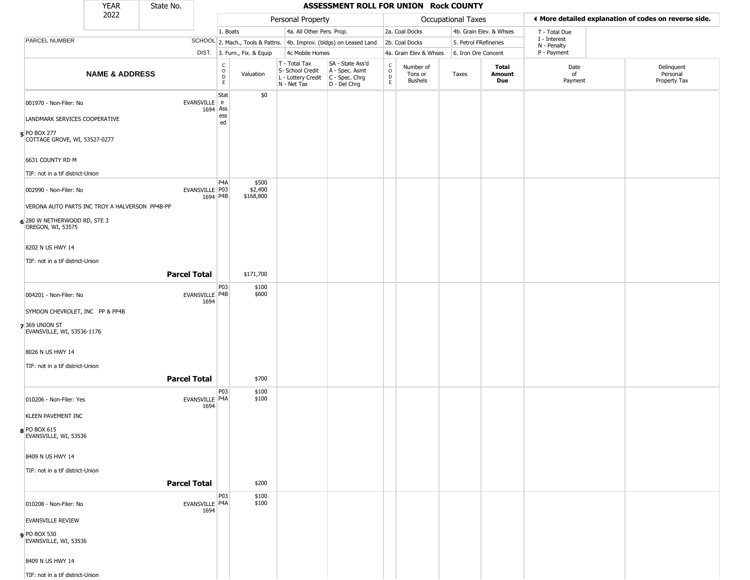|                                                                          | <b>YEAR</b>               | State No.           |                               |                              |                                                  | ASSESSMENT ROLL FOR UNION Rock COUNTY                                                     |                                                          |                                        |                           |                         |                             |                                                       |
|--------------------------------------------------------------------------|---------------------------|---------------------|-------------------------------|------------------------------|--------------------------------------------------|-------------------------------------------------------------------------------------------|----------------------------------------------------------|----------------------------------------|---------------------------|-------------------------|-----------------------------|-------------------------------------------------------|
|                                                                          | 2022                      |                     |                               |                              | Personal Property                                |                                                                                           |                                                          |                                        | <b>Occupational Taxes</b> |                         |                             | ◀ More detailed explanation of codes on reverse side. |
|                                                                          |                           |                     |                               | 1. Boats                     | 4a. All Other Pers. Prop.                        |                                                                                           |                                                          | 2a. Coal Docks                         |                           | 4b. Grain Elev. & Whses | T - Total Due               |                                                       |
| PARCEL NUMBER                                                            |                           |                     |                               |                              |                                                  | SCHOOL 2. Mach., Tools & Pattns. 4b. Improv. (bldgs) on Leased Land                       |                                                          | 2b. Coal Docks                         | 5. Petrol FRefineries     |                         | I - Interest<br>N - Penalty |                                                       |
|                                                                          |                           |                     |                               | DIST. 3. Furn., Fix. & Equip | 4c Mobile Homes                                  |                                                                                           |                                                          | 4a. Grain Elev & Whses                 | 6. Iron Ore Concent       |                         | P - Payment                 |                                                       |
|                                                                          | <b>NAME &amp; ADDRESS</b> |                     | C<br>0<br>D<br>E.             | Valuation                    | T - Total Tax<br>S- School Credit<br>N - Net Tax | SA - State Ass'd<br>A - Spec. Asmt<br>L - Lottery Credit   C - Spec. Chrg<br>D - Del Chrg | $\begin{smallmatrix} C \\ O \\ D \end{smallmatrix}$<br>E | Number of<br>Tons or<br><b>Bushels</b> | Taxes                     | Total<br>Amount<br>Due  | Date<br>of<br>Payment       | Delinquent<br>Personal<br>Property Tax                |
| 001970 - Non-Filer: No<br>LANDMARK SERVICES COOPERATIVE                  |                           | EVANSVILLE e        | Stat<br>1694 Ass<br>ess<br>ed | \$0                          |                                                  |                                                                                           |                                                          |                                        |                           |                         |                             |                                                       |
| 5 PO BOX 277<br>COTTAGE GROVE, WI, 53527-0277                            |                           |                     |                               |                              |                                                  |                                                                                           |                                                          |                                        |                           |                         |                             |                                                       |
| 6631 COUNTY RD M                                                         |                           |                     |                               |                              |                                                  |                                                                                           |                                                          |                                        |                           |                         |                             |                                                       |
| TIF: not in a tif district-Union                                         |                           |                     | P4A                           | \$500                        |                                                  |                                                                                           |                                                          |                                        |                           |                         |                             |                                                       |
| 002990 - Non-Filer: No<br>VERONA AUTO PARTS INC TROY A HALVERSON PP4B-PP |                           | EVANSVILLE P03      | 1694 P4B                      | \$2,400<br>\$168,800         |                                                  |                                                                                           |                                                          |                                        |                           |                         |                             |                                                       |
| 6 280 W NETHERWOOD RD, STE 3<br>OREGON, WI, 53575                        |                           |                     |                               |                              |                                                  |                                                                                           |                                                          |                                        |                           |                         |                             |                                                       |
| 8202 N US HWY 14                                                         |                           |                     |                               |                              |                                                  |                                                                                           |                                                          |                                        |                           |                         |                             |                                                       |
| TIF: not in a tif district-Union                                         |                           |                     |                               |                              |                                                  |                                                                                           |                                                          |                                        |                           |                         |                             |                                                       |
|                                                                          |                           | <b>Parcel Total</b> |                               | \$171,700                    |                                                  |                                                                                           |                                                          |                                        |                           |                         |                             |                                                       |
| 004201 - Non-Filer: No                                                   |                           | EVANSVILLE P4B      | P03<br>1694                   | \$100<br>\$600               |                                                  |                                                                                           |                                                          |                                        |                           |                         |                             |                                                       |
| SYMDON CHEVROLET, INC PP & PP4B                                          |                           |                     |                               |                              |                                                  |                                                                                           |                                                          |                                        |                           |                         |                             |                                                       |
| 7369 UNION ST<br>EVANSVILLE, WI, 53536-1176                              |                           |                     |                               |                              |                                                  |                                                                                           |                                                          |                                        |                           |                         |                             |                                                       |
| 8026 N US HWY 14                                                         |                           |                     |                               |                              |                                                  |                                                                                           |                                                          |                                        |                           |                         |                             |                                                       |
| TIF: not in a tif district-Union                                         |                           |                     |                               |                              |                                                  |                                                                                           |                                                          |                                        |                           |                         |                             |                                                       |
|                                                                          |                           | <b>Parcel Total</b> |                               | \$700                        |                                                  |                                                                                           |                                                          |                                        |                           |                         |                             |                                                       |
| 010206 - Non-Filer: Yes                                                  |                           | EVANSVILLE P4A      | P03<br>1694                   | \$100<br>\$100               |                                                  |                                                                                           |                                                          |                                        |                           |                         |                             |                                                       |
| <b>KLEEN PAVEMENT INC</b>                                                |                           |                     |                               |                              |                                                  |                                                                                           |                                                          |                                        |                           |                         |                             |                                                       |
| 8 PO BOX 615<br>EVANSVILLE, WI, 53536                                    |                           |                     |                               |                              |                                                  |                                                                                           |                                                          |                                        |                           |                         |                             |                                                       |
| 8409 N US HWY 14                                                         |                           |                     |                               |                              |                                                  |                                                                                           |                                                          |                                        |                           |                         |                             |                                                       |
| TIF: not in a tif district-Union                                         |                           |                     |                               |                              |                                                  |                                                                                           |                                                          |                                        |                           |                         |                             |                                                       |
|                                                                          |                           | <b>Parcel Total</b> |                               | \$200                        |                                                  |                                                                                           |                                                          |                                        |                           |                         |                             |                                                       |
| 010208 - Non-Filer: No                                                   |                           | EVANSVILLE P4A      | P03<br>1694                   | \$100<br>\$100               |                                                  |                                                                                           |                                                          |                                        |                           |                         |                             |                                                       |
| <b>EVANSVILLE REVIEW</b>                                                 |                           |                     |                               |                              |                                                  |                                                                                           |                                                          |                                        |                           |                         |                             |                                                       |
| PO BOX 530<br>EVANSVILLE, WI, 53536                                      |                           |                     |                               |                              |                                                  |                                                                                           |                                                          |                                        |                           |                         |                             |                                                       |
| 8409 N US HWY 14                                                         |                           |                     |                               |                              |                                                  |                                                                                           |                                                          |                                        |                           |                         |                             |                                                       |
| TIF: not in a tif district-Union                                         |                           |                     |                               |                              |                                                  |                                                                                           |                                                          |                                        |                           |                         |                             |                                                       |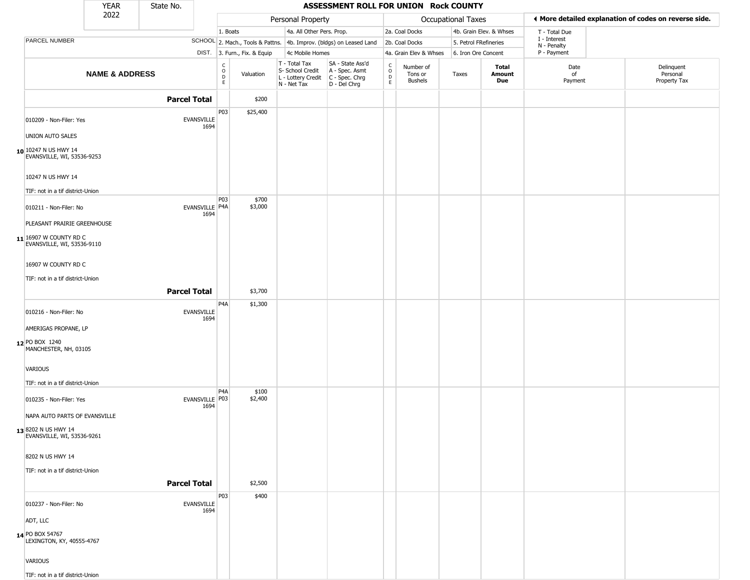|                                                      | <b>YEAR</b>               | State No.           |                           |                                                 |                              |                                                                                         | ASSESSMENT ROLL FOR UNION Rock COUNTY                               |                                                |                                        |                       |                         |                             |                                                       |
|------------------------------------------------------|---------------------------|---------------------|---------------------------|-------------------------------------------------|------------------------------|-----------------------------------------------------------------------------------------|---------------------------------------------------------------------|------------------------------------------------|----------------------------------------|-----------------------|-------------------------|-----------------------------|-------------------------------------------------------|
|                                                      | 2022                      |                     |                           |                                                 |                              | Personal Property                                                                       |                                                                     |                                                |                                        | Occupational Taxes    |                         |                             | ◀ More detailed explanation of codes on reverse side. |
|                                                      |                           |                     |                           | 1. Boats                                        |                              | 4a. All Other Pers. Prop.                                                               |                                                                     |                                                | 2a. Coal Docks                         |                       | 4b. Grain Elev. & Whses | T - Total Due               |                                                       |
| PARCEL NUMBER                                        |                           |                     |                           |                                                 |                              |                                                                                         | SCHOOL 2. Mach., Tools & Pattns. 4b. Improv. (bldgs) on Leased Land |                                                | 2b. Coal Docks                         | 5. Petrol FRefineries |                         | I - Interest<br>N - Penalty |                                                       |
|                                                      |                           |                     |                           |                                                 | DIST. 3. Furn., Fix. & Equip | 4c Mobile Homes                                                                         |                                                                     |                                                | 4a. Grain Elev & Whses                 | 6. Iron Ore Concent   |                         | P - Payment                 |                                                       |
|                                                      | <b>NAME &amp; ADDRESS</b> |                     |                           | $\begin{array}{c} C \\ O \\ D \\ E \end{array}$ | Valuation                    | T - Total Tax<br>S- School Credit<br>L - Lottery Credit   C - Spec. Chrg<br>N - Net Tax | SA - State Ass'd<br>A - Spec. Asmt<br>D - Del Chrg                  | $\begin{matrix} 0 \\ 0 \\ 0 \end{matrix}$<br>E | Number of<br>Tons or<br><b>Bushels</b> | Taxes                 | Total<br>Amount<br>Due  | Date<br>of<br>Payment       | Delinquent<br>Personal<br>Property Tax                |
|                                                      |                           | <b>Parcel Total</b> |                           |                                                 | \$200                        |                                                                                         |                                                                     |                                                |                                        |                       |                         |                             |                                                       |
| 010209 - Non-Filer: Yes                              |                           |                     | <b>EVANSVILLE</b><br>1694 | P03                                             | \$25,400                     |                                                                                         |                                                                     |                                                |                                        |                       |                         |                             |                                                       |
| UNION AUTO SALES                                     |                           |                     |                           |                                                 |                              |                                                                                         |                                                                     |                                                |                                        |                       |                         |                             |                                                       |
| 10 10247 N US HWY 14<br>EVANSVILLE, WI, 53536-9253   |                           |                     |                           |                                                 |                              |                                                                                         |                                                                     |                                                |                                        |                       |                         |                             |                                                       |
| 10247 N US HWY 14                                    |                           |                     |                           |                                                 |                              |                                                                                         |                                                                     |                                                |                                        |                       |                         |                             |                                                       |
| TIF: not in a tif district-Union                     |                           |                     |                           | P03                                             | \$700                        |                                                                                         |                                                                     |                                                |                                        |                       |                         |                             |                                                       |
| 010211 - Non-Filer: No                               |                           |                     | EVANSVILLE P4A<br>1694    |                                                 | \$3,000                      |                                                                                         |                                                                     |                                                |                                        |                       |                         |                             |                                                       |
| PLEASANT PRAIRIE GREENHOUSE                          |                           |                     |                           |                                                 |                              |                                                                                         |                                                                     |                                                |                                        |                       |                         |                             |                                                       |
| 11 16907 W COUNTY RD C<br>EVANSVILLE, WI, 53536-9110 |                           |                     |                           |                                                 |                              |                                                                                         |                                                                     |                                                |                                        |                       |                         |                             |                                                       |
| 16907 W COUNTY RD C                                  |                           |                     |                           |                                                 |                              |                                                                                         |                                                                     |                                                |                                        |                       |                         |                             |                                                       |
| TIF: not in a tif district-Union                     |                           |                     |                           |                                                 |                              |                                                                                         |                                                                     |                                                |                                        |                       |                         |                             |                                                       |
|                                                      |                           | <b>Parcel Total</b> |                           |                                                 | \$3,700                      |                                                                                         |                                                                     |                                                |                                        |                       |                         |                             |                                                       |
|                                                      |                           |                     |                           | P4A                                             | \$1,300                      |                                                                                         |                                                                     |                                                |                                        |                       |                         |                             |                                                       |
| 010216 - Non-Filer: No                               |                           |                     | <b>EVANSVILLE</b><br>1694 |                                                 |                              |                                                                                         |                                                                     |                                                |                                        |                       |                         |                             |                                                       |
| AMERIGAS PROPANE, LP                                 |                           |                     |                           |                                                 |                              |                                                                                         |                                                                     |                                                |                                        |                       |                         |                             |                                                       |
| 12 PO BOX 1240<br>MANCHESTER, NH, 03105              |                           |                     |                           |                                                 |                              |                                                                                         |                                                                     |                                                |                                        |                       |                         |                             |                                                       |
| VARIOUS                                              |                           |                     |                           |                                                 |                              |                                                                                         |                                                                     |                                                |                                        |                       |                         |                             |                                                       |
| TIF: not in a tif district-Union                     |                           |                     |                           |                                                 |                              |                                                                                         |                                                                     |                                                |                                        |                       |                         |                             |                                                       |
| 010235 - Non-Filer: Yes                              |                           |                     | EVANSVILLE P03<br>1694    | P <sub>4</sub> A                                | \$100<br>\$2,400             |                                                                                         |                                                                     |                                                |                                        |                       |                         |                             |                                                       |
| NAPA AUTO PARTS OF EVANSVILLE                        |                           |                     |                           |                                                 |                              |                                                                                         |                                                                     |                                                |                                        |                       |                         |                             |                                                       |
| 13 8202 N US HWY 14<br>EVANSVILLE, WI, 53536-9261    |                           |                     |                           |                                                 |                              |                                                                                         |                                                                     |                                                |                                        |                       |                         |                             |                                                       |
| 8202 N US HWY 14                                     |                           |                     |                           |                                                 |                              |                                                                                         |                                                                     |                                                |                                        |                       |                         |                             |                                                       |
| TIF: not in a tif district-Union                     |                           |                     |                           |                                                 |                              |                                                                                         |                                                                     |                                                |                                        |                       |                         |                             |                                                       |
|                                                      |                           | <b>Parcel Total</b> |                           |                                                 | \$2,500                      |                                                                                         |                                                                     |                                                |                                        |                       |                         |                             |                                                       |
|                                                      |                           |                     |                           | P03                                             | \$400                        |                                                                                         |                                                                     |                                                |                                        |                       |                         |                             |                                                       |
| 010237 - Non-Filer: No                               |                           |                     | EVANSVILLE<br>1694        |                                                 |                              |                                                                                         |                                                                     |                                                |                                        |                       |                         |                             |                                                       |
| ADT, LLC                                             |                           |                     |                           |                                                 |                              |                                                                                         |                                                                     |                                                |                                        |                       |                         |                             |                                                       |
| 14 PO BOX 54767<br>LEXINGTON, KY, 40555-4767         |                           |                     |                           |                                                 |                              |                                                                                         |                                                                     |                                                |                                        |                       |                         |                             |                                                       |
| VARIOUS                                              |                           |                     |                           |                                                 |                              |                                                                                         |                                                                     |                                                |                                        |                       |                         |                             |                                                       |
| TIF: not in a tif district-Union                     |                           |                     |                           |                                                 |                              |                                                                                         |                                                                     |                                                |                                        |                       |                         |                             |                                                       |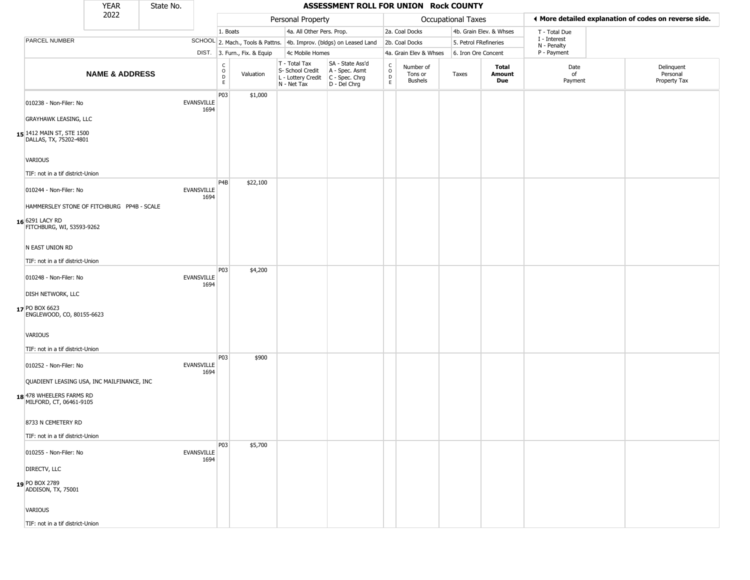|                                                                                                                      | <b>YEAR</b>               | State No. |                           |                        |                              |                                                                        | ASSESSMENT ROLL FOR UNION Rock COUNTY                                  |                        |                                 |                       |                         |                             |                                                       |
|----------------------------------------------------------------------------------------------------------------------|---------------------------|-----------|---------------------------|------------------------|------------------------------|------------------------------------------------------------------------|------------------------------------------------------------------------|------------------------|---------------------------------|-----------------------|-------------------------|-----------------------------|-------------------------------------------------------|
|                                                                                                                      | 2022                      |           |                           |                        |                              | Personal Property                                                      |                                                                        |                        |                                 | Occupational Taxes    |                         |                             | ◀ More detailed explanation of codes on reverse side. |
|                                                                                                                      |                           |           |                           | 1. Boats               |                              | 4a. All Other Pers. Prop.                                              |                                                                        |                        | 2a. Coal Docks                  |                       | 4b. Grain Elev. & Whses | T - Total Due               |                                                       |
| PARCEL NUMBER                                                                                                        |                           |           |                           |                        |                              |                                                                        | SCHOOL 2. Mach., Tools & Pattns. 4b. Improv. (bldgs) on Leased Land    |                        | 2b. Coal Docks                  | 5. Petrol FRefineries |                         | I - Interest<br>N - Penalty |                                                       |
|                                                                                                                      |                           |           |                           |                        | DIST. 3. Furn., Fix. & Equip | 4c Mobile Homes                                                        |                                                                        |                        | 4a. Grain Elev & Whses          | 6. Iron Ore Concent   |                         | P - Payment                 |                                                       |
|                                                                                                                      | <b>NAME &amp; ADDRESS</b> |           |                           | C<br>$\circ$<br>D<br>E | Valuation                    | T - Total Tax<br>S- School Credit<br>L - Lottery Credit<br>N - Net Tax | SA - State Ass'd<br>A - Spec. Asmt<br>$C - Spec. Chrg$<br>D - Del Chrg | C<br>$\circ$<br>D<br>E | Number of<br>Tons or<br>Bushels | Taxes                 | Total<br>Amount<br>Due  | Date<br>of<br>Payment       | Delinquent<br>Personal<br>Property Tax                |
| 010238 - Non-Filer: No<br><b>GRAYHAWK LEASING, LLC</b><br>15 1412 MAIN ST, STE 1500<br>DALLAS, TX, 75202-4801        |                           |           | <b>EVANSVILLE</b><br>1694 | P03                    | \$1,000                      |                                                                        |                                                                        |                        |                                 |                       |                         |                             |                                                       |
| VARIOUS<br>TIF: not in a tif district-Union                                                                          |                           |           |                           |                        |                              |                                                                        |                                                                        |                        |                                 |                       |                         |                             |                                                       |
| 010244 - Non-Filer: No<br>HAMMERSLEY STONE OF FITCHBURG PP4B - SCALE<br>16 6291 LACY RD<br>FITCHBURG, WI, 53593-9262 |                           |           | <b>EVANSVILLE</b><br>1694 | P <sub>4</sub> B       | \$22,100                     |                                                                        |                                                                        |                        |                                 |                       |                         |                             |                                                       |
| N EAST UNION RD<br>TIF: not in a tif district-Union                                                                  |                           |           |                           | P03                    | \$4,200                      |                                                                        |                                                                        |                        |                                 |                       |                         |                             |                                                       |
| 010248 - Non-Filer: No<br><b>DISH NETWORK, LLC</b><br>17 PO BOX 6623<br>ENGLEWOOD, CO, 80155-6623                    |                           |           | <b>EVANSVILLE</b><br>1694 |                        |                              |                                                                        |                                                                        |                        |                                 |                       |                         |                             |                                                       |
| VARIOUS<br>TIF: not in a tif district-Union                                                                          |                           |           |                           |                        |                              |                                                                        |                                                                        |                        |                                 |                       |                         |                             |                                                       |
| 010252 - Non-Filer: No<br>QUADIENT LEASING USA, INC MAILFINANCE, INC<br>18 478 WHEELERS FARMS RD                     |                           |           | <b>EVANSVILLE</b><br>1694 | P03                    | \$900                        |                                                                        |                                                                        |                        |                                 |                       |                         |                             |                                                       |
| MILFORD, CT, 06461-9105<br>8733 N CEMETERY RD<br>TIF: not in a tif district-Union                                    |                           |           |                           |                        |                              |                                                                        |                                                                        |                        |                                 |                       |                         |                             |                                                       |
| 010255 - Non-Filer: No                                                                                               |                           |           | <b>EVANSVILLE</b><br>1694 | P03                    | \$5,700                      |                                                                        |                                                                        |                        |                                 |                       |                         |                             |                                                       |
| DIRECTV, LLC<br>19 PO BOX 2789<br>ADDISON, TX, 75001                                                                 |                           |           |                           |                        |                              |                                                                        |                                                                        |                        |                                 |                       |                         |                             |                                                       |
| VARIOUS<br>TIF: not in a tif district-Union                                                                          |                           |           |                           |                        |                              |                                                                        |                                                                        |                        |                                 |                       |                         |                             |                                                       |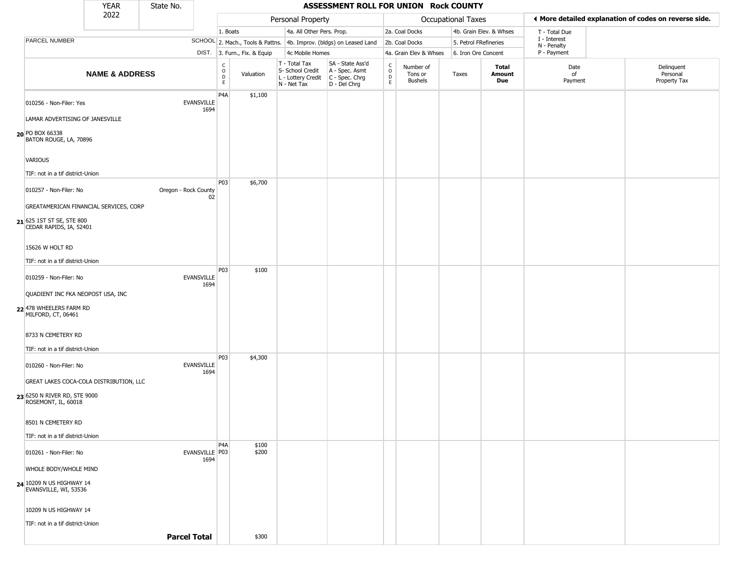|                                                        | <b>YEAR</b>                             | State No.            |                |                                                          |                |                                                                                         | ASSESSMENT ROLL FOR UNION Rock COUNTY                               |                                                   |                                        |                       |                         |                             |                                                       |
|--------------------------------------------------------|-----------------------------------------|----------------------|----------------|----------------------------------------------------------|----------------|-----------------------------------------------------------------------------------------|---------------------------------------------------------------------|---------------------------------------------------|----------------------------------------|-----------------------|-------------------------|-----------------------------|-------------------------------------------------------|
|                                                        | 2022                                    |                      |                |                                                          |                | Personal Property                                                                       |                                                                     |                                                   |                                        | Occupational Taxes    |                         |                             | ◀ More detailed explanation of codes on reverse side. |
|                                                        |                                         |                      |                | 1. Boats                                                 |                | 4a. All Other Pers. Prop.                                                               |                                                                     |                                                   | 2a. Coal Docks                         |                       | 4b. Grain Elev. & Whses | T - Total Due               |                                                       |
| PARCEL NUMBER                                          |                                         |                      |                |                                                          |                |                                                                                         | SCHOOL 2. Mach., Tools & Pattns. 4b. Improv. (bldgs) on Leased Land |                                                   | 2b. Coal Docks                         | 5. Petrol FRefineries |                         | I - Interest<br>N - Penalty |                                                       |
|                                                        |                                         |                      |                | DIST. 3. Furn., Fix. & Equip                             |                | 4c Mobile Homes                                                                         |                                                                     |                                                   | 4a. Grain Elev & Whses                 | 6. Iron Ore Concent   |                         | P - Payment                 |                                                       |
|                                                        | <b>NAME &amp; ADDRESS</b>               |                      |                | $\begin{matrix} 0 \\ 0 \\ 0 \end{matrix}$<br>$\mathsf E$ | Valuation      | T - Total Tax<br>S- School Credit<br>L - Lottery Credit   C - Spec. Chrg<br>N - Net Tax | SA - State Ass'd<br>A - Spec. Asmt<br>D - Del Chrg                  | $\begin{array}{c}\nC \\ O \\ D \\ E\n\end{array}$ | Number of<br>Tons or<br><b>Bushels</b> | Taxes                 | Total<br>Amount<br>Due  | Date<br>of<br>Payment       | Delinquent<br>Personal<br>Property Tax                |
| 010256 - Non-Filer: Yes                                | LAMAR ADVERTISING OF JANESVILLE         | <b>EVANSVILLE</b>    | 1694           | P <sub>4</sub> A                                         | \$1,100        |                                                                                         |                                                                     |                                                   |                                        |                       |                         |                             |                                                       |
| 20 PO BOX 66338<br>BATON ROUGE, LA, 70896              |                                         |                      |                |                                                          |                |                                                                                         |                                                                     |                                                   |                                        |                       |                         |                             |                                                       |
| <b>VARIOUS</b>                                         |                                         |                      |                |                                                          |                |                                                                                         |                                                                     |                                                   |                                        |                       |                         |                             |                                                       |
| TIF: not in a tif district-Union                       |                                         |                      |                |                                                          |                |                                                                                         |                                                                     |                                                   |                                        |                       |                         |                             |                                                       |
| 010257 - Non-Filer: No                                 |                                         | Oregon - Rock County | 02             | P03                                                      | \$6,700        |                                                                                         |                                                                     |                                                   |                                        |                       |                         |                             |                                                       |
|                                                        | GREATAMERICAN FINANCIAL SERVICES, CORP  |                      |                |                                                          |                |                                                                                         |                                                                     |                                                   |                                        |                       |                         |                             |                                                       |
| 21 625 1ST ST SE, STE 800<br>CEDAR RAPIDS, IA, 52401   |                                         |                      |                |                                                          |                |                                                                                         |                                                                     |                                                   |                                        |                       |                         |                             |                                                       |
| 15626 W HOLT RD                                        |                                         |                      |                |                                                          |                |                                                                                         |                                                                     |                                                   |                                        |                       |                         |                             |                                                       |
| TIF: not in a tif district-Union                       |                                         |                      |                |                                                          |                |                                                                                         |                                                                     |                                                   |                                        |                       |                         |                             |                                                       |
| 010259 - Non-Filer: No                                 |                                         | <b>EVANSVILLE</b>    | 1694           | P03                                                      | \$100          |                                                                                         |                                                                     |                                                   |                                        |                       |                         |                             |                                                       |
| 22 478 WHEELERS FARM RD<br>MILFORD, CT, 06461          | QUADIENT INC FKA NEOPOST USA, INC       |                      |                |                                                          |                |                                                                                         |                                                                     |                                                   |                                        |                       |                         |                             |                                                       |
| 8733 N CEMETERY RD<br>TIF: not in a tif district-Union |                                         |                      |                |                                                          |                |                                                                                         |                                                                     |                                                   |                                        |                       |                         |                             |                                                       |
|                                                        |                                         |                      |                | P03                                                      | \$4,300        |                                                                                         |                                                                     |                                                   |                                        |                       |                         |                             |                                                       |
| 010260 - Non-Filer: No                                 | GREAT LAKES COCA-COLA DISTRIBUTION, LLC | <b>EVANSVILLE</b>    | 1694           |                                                          |                |                                                                                         |                                                                     |                                                   |                                        |                       |                         |                             |                                                       |
| 23 6250 N RIVER RD, STE 9000<br>ROSEMONT, IL, 60018    |                                         |                      |                |                                                          |                |                                                                                         |                                                                     |                                                   |                                        |                       |                         |                             |                                                       |
| 8501 N CEMETERY RD<br>TIF: not in a tif district-Union |                                         |                      |                |                                                          |                |                                                                                         |                                                                     |                                                   |                                        |                       |                         |                             |                                                       |
| 010261 - Non-Filer: No                                 |                                         |                      | EVANSVILLE P03 | P <sub>4</sub> A                                         | \$100<br>\$200 |                                                                                         |                                                                     |                                                   |                                        |                       |                         |                             |                                                       |
| WHOLE BODY/WHOLE MIND                                  |                                         |                      | 1694           |                                                          |                |                                                                                         |                                                                     |                                                   |                                        |                       |                         |                             |                                                       |
| 24 10209 N US HIGHWAY 14<br>EVANSVILLE, WI, 53536      |                                         |                      |                |                                                          |                |                                                                                         |                                                                     |                                                   |                                        |                       |                         |                             |                                                       |
| 10209 N US HIGHWAY 14                                  |                                         |                      |                |                                                          |                |                                                                                         |                                                                     |                                                   |                                        |                       |                         |                             |                                                       |
| TIF: not in a tif district-Union                       |                                         |                      |                |                                                          |                |                                                                                         |                                                                     |                                                   |                                        |                       |                         |                             |                                                       |
|                                                        |                                         | <b>Parcel Total</b>  |                |                                                          | \$300          |                                                                                         |                                                                     |                                                   |                                        |                       |                         |                             |                                                       |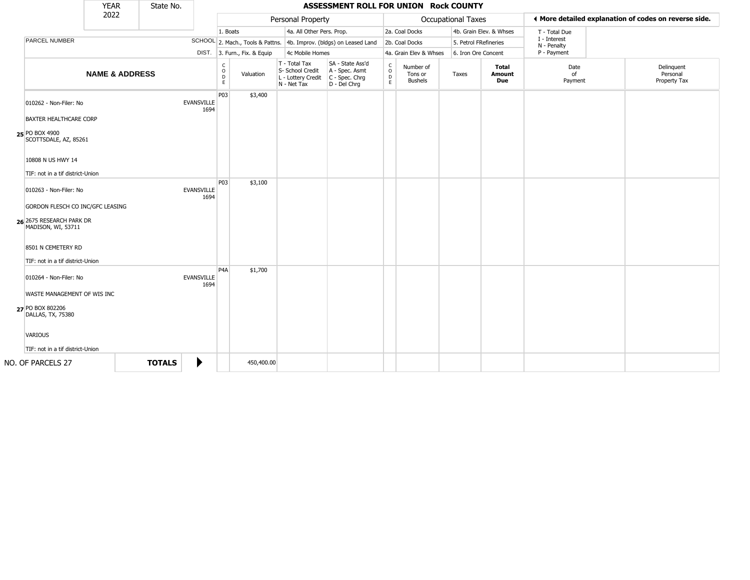|                                                                                                                                                  | <b>YEAR</b>               | State No.     |                           |                         |                              |                                                                        | ASSESSMENT ROLL FOR UNION Rock COUNTY                                  |                                   |                                        |                           |                         |                             |                                                       |
|--------------------------------------------------------------------------------------------------------------------------------------------------|---------------------------|---------------|---------------------------|-------------------------|------------------------------|------------------------------------------------------------------------|------------------------------------------------------------------------|-----------------------------------|----------------------------------------|---------------------------|-------------------------|-----------------------------|-------------------------------------------------------|
|                                                                                                                                                  | 2022                      |               |                           |                         |                              | Personal Property                                                      |                                                                        |                                   |                                        | <b>Occupational Taxes</b> |                         |                             | ♦ More detailed explanation of codes on reverse side. |
|                                                                                                                                                  |                           |               |                           | 1. Boats                |                              | 4a. All Other Pers. Prop.                                              |                                                                        |                                   | 2a. Coal Docks                         |                           | 4b. Grain Elev. & Whses | T - Total Due               |                                                       |
| PARCEL NUMBER                                                                                                                                    |                           |               |                           |                         |                              |                                                                        | SCHOOL 2. Mach., Tools & Pattns. 4b. Improv. (bldgs) on Leased Land    |                                   | 2b. Coal Docks                         | 5. Petrol FRefineries     |                         | I - Interest<br>N - Penalty |                                                       |
|                                                                                                                                                  |                           |               |                           |                         | DIST. 3. Furn., Fix. & Equip | 4c Mobile Homes                                                        |                                                                        |                                   | 4a. Grain Elev & Whses                 | 6. Iron Ore Concent       |                         | P - Payment                 |                                                       |
|                                                                                                                                                  | <b>NAME &amp; ADDRESS</b> |               |                           | C<br>$\circ$<br>D<br>E. | Valuation                    | T - Total Tax<br>S- School Credit<br>L - Lottery Credit<br>N - Net Tax | SA - State Ass'd<br>A - Spec. Asmt<br>$C - Spec. Chrg$<br>D - Del Chrg | $\mathsf{C}$<br>$\circ$<br>D<br>E | Number of<br>Tons or<br><b>Bushels</b> | Taxes                     | Total<br>Amount<br>Due  | Date<br>of<br>Payment       | Delinquent<br>Personal<br>Property Tax                |
| 010262 - Non-Filer: No                                                                                                                           |                           |               | <b>EVANSVILLE</b><br>1694 | P03                     | \$3,400                      |                                                                        |                                                                        |                                   |                                        |                           |                         |                             |                                                       |
| BAXTER HEALTHCARE CORP<br>25 PO BOX 4900<br>SCOTTSDALE, AZ, 85261<br>10808 N US HWY 14                                                           |                           |               |                           |                         |                              |                                                                        |                                                                        |                                   |                                        |                           |                         |                             |                                                       |
| TIF: not in a tif district-Union<br>010263 - Non-Filer: No<br>GORDON FLESCH CO INC/GFC LEASING<br>26 2675 RESEARCH PARK DR<br>MADISON, WI, 53711 |                           |               | <b>EVANSVILLE</b><br>1694 | P03                     | \$3,100                      |                                                                        |                                                                        |                                   |                                        |                           |                         |                             |                                                       |
| 8501 N CEMETERY RD<br>TIF: not in a tif district-Union                                                                                           |                           |               |                           |                         |                              |                                                                        |                                                                        |                                   |                                        |                           |                         |                             |                                                       |
| 010264 - Non-Filer: No<br>WASTE MANAGEMENT OF WIS INC<br>27 PO BOX 802206                                                                        |                           |               | <b>EVANSVILLE</b><br>1694 | P <sub>4</sub> A        | \$1,700                      |                                                                        |                                                                        |                                   |                                        |                           |                         |                             |                                                       |
| DALLAS, TX, 75380<br><b>VARIOUS</b><br>TIF: not in a tif district-Union                                                                          |                           |               |                           |                         |                              |                                                                        |                                                                        |                                   |                                        |                           |                         |                             |                                                       |
| NO. OF PARCELS 27                                                                                                                                |                           | <b>TOTALS</b> | ▶                         |                         | 450,400.00                   |                                                                        |                                                                        |                                   |                                        |                           |                         |                             |                                                       |